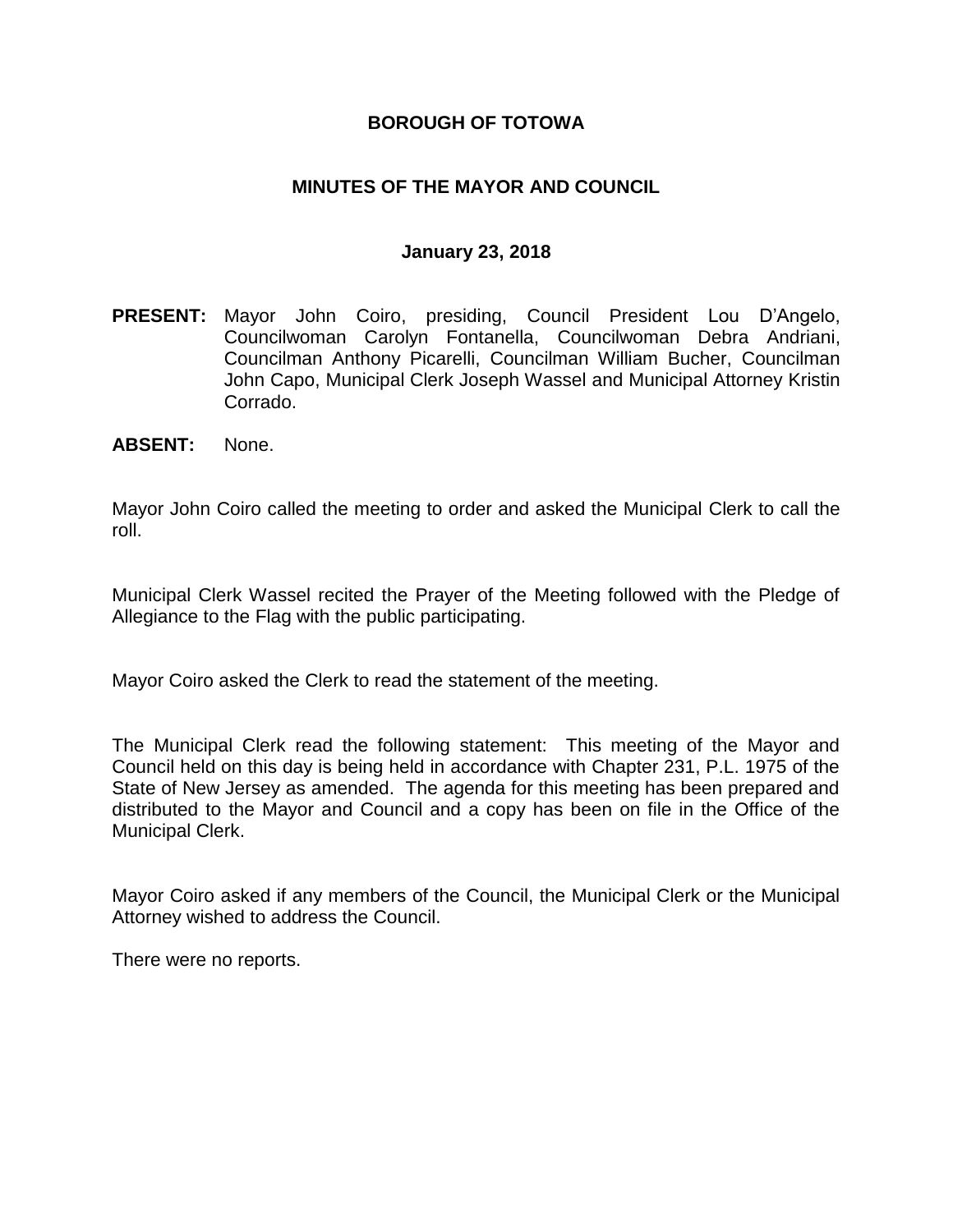### **BOROUGH OF TOTOWA**

### **MINUTES OF THE MAYOR AND COUNCIL**

#### **January 23, 2018**

- **PRESENT:** Mayor John Coiro, presiding, Council President Lou D'Angelo, Councilwoman Carolyn Fontanella, Councilwoman Debra Andriani, Councilman Anthony Picarelli, Councilman William Bucher, Councilman John Capo, Municipal Clerk Joseph Wassel and Municipal Attorney Kristin Corrado.
- **ABSENT:** None.

Mayor John Coiro called the meeting to order and asked the Municipal Clerk to call the roll.

Municipal Clerk Wassel recited the Prayer of the Meeting followed with the Pledge of Allegiance to the Flag with the public participating.

Mayor Coiro asked the Clerk to read the statement of the meeting.

The Municipal Clerk read the following statement: This meeting of the Mayor and Council held on this day is being held in accordance with Chapter 231, P.L. 1975 of the State of New Jersey as amended. The agenda for this meeting has been prepared and distributed to the Mayor and Council and a copy has been on file in the Office of the Municipal Clerk.

Mayor Coiro asked if any members of the Council, the Municipal Clerk or the Municipal Attorney wished to address the Council.

There were no reports.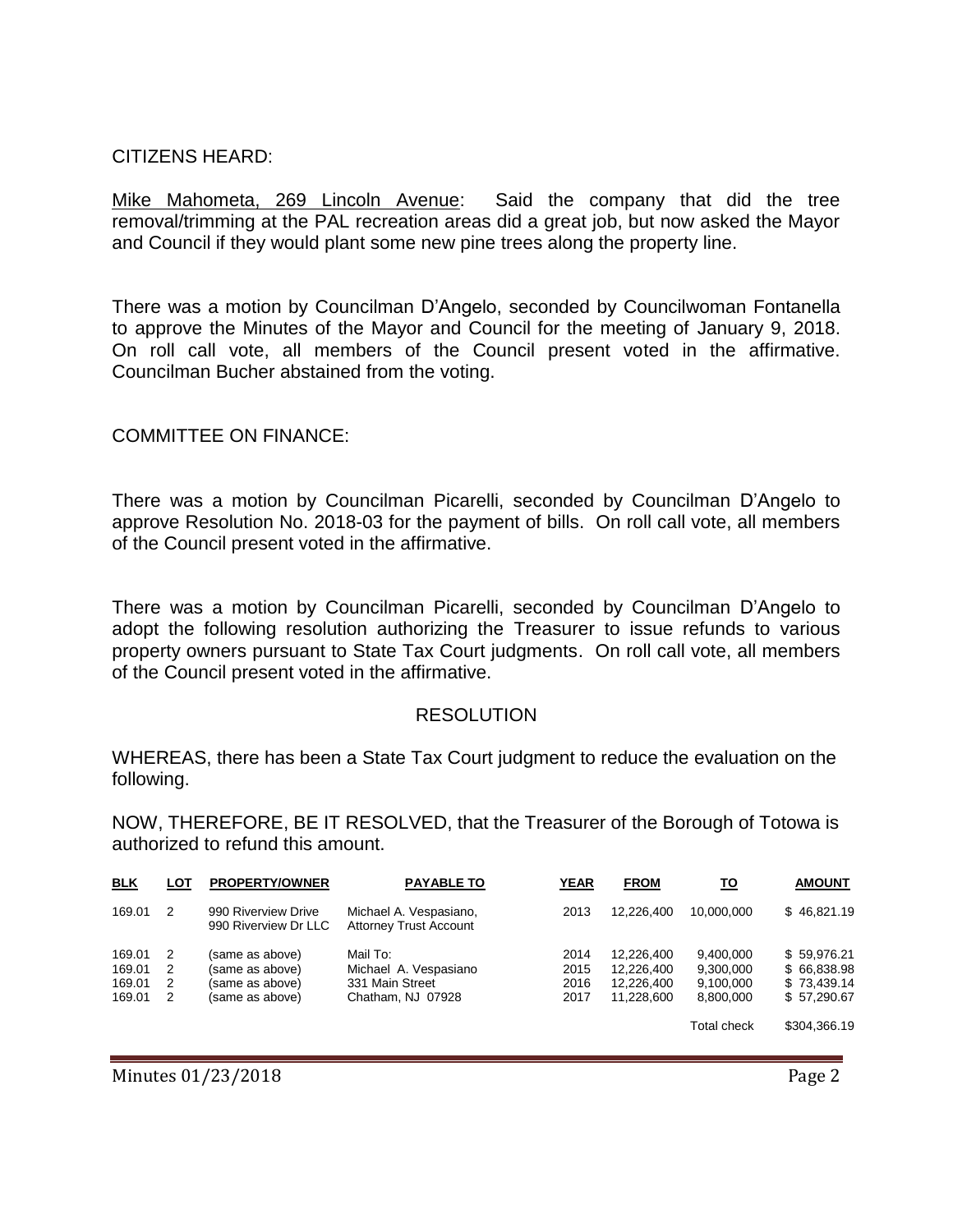### CITIZENS HEARD:

Mike Mahometa, 269 Lincoln Avenue: Said the company that did the tree removal/trimming at the PAL recreation areas did a great job, but now asked the Mayor and Council if they would plant some new pine trees along the property line.

There was a motion by Councilman D'Angelo, seconded by Councilwoman Fontanella to approve the Minutes of the Mayor and Council for the meeting of January 9, 2018. On roll call vote, all members of the Council present voted in the affirmative. Councilman Bucher abstained from the voting.

### COMMITTEE ON FINANCE:

There was a motion by Councilman Picarelli, seconded by Councilman D'Angelo to approve Resolution No. 2018-03 for the payment of bills. On roll call vote, all members of the Council present voted in the affirmative.

There was a motion by Councilman Picarelli, seconded by Councilman D'Angelo to adopt the following resolution authorizing the Treasurer to issue refunds to various property owners pursuant to State Tax Court judgments. On roll call vote, all members of the Council present voted in the affirmative.

#### RESOLUTION

WHEREAS, there has been a State Tax Court judgment to reduce the evaluation on the following.

NOW, THEREFORE, BE IT RESOLVED, that the Treasurer of the Borough of Totowa is authorized to refund this amount.

| <b>BLK</b> | LOT | <b>PROPERTY/OWNER</b>                       | <b>PAYABLE TO</b>                                       | <b>YEAR</b> | <b>FROM</b> | <u>TO</u>   | <b>AMOUNT</b> |
|------------|-----|---------------------------------------------|---------------------------------------------------------|-------------|-------------|-------------|---------------|
| 169.01     | 2   | 990 Riverview Drive<br>990 Riverview Dr LLC | Michael A. Vespasiano,<br><b>Attorney Trust Account</b> | 2013        | 12.226.400  | 10.000.000  | \$46,821.19   |
| 169.01     | 2   | (same as above)                             | Mail To:                                                | 2014        | 12.226.400  | 9.400.000   | \$59,976.21   |
| 169.01     | 2   | (same as above)                             | Michael A. Vespasiano                                   | 2015        | 12.226.400  | 9,300,000   | \$66,838.98   |
| 169.01     | 2   | (same as above)                             | 331 Main Street                                         | 2016        | 12.226.400  | 9,100,000   | \$73,439.14   |
| 169.01     | 2   | (same as above)                             | Chatham, NJ 07928                                       | 2017        | 11.228.600  | 8.800.000   | \$57,290.67   |
|            |     |                                             |                                                         |             |             | Total check | \$304,366.19  |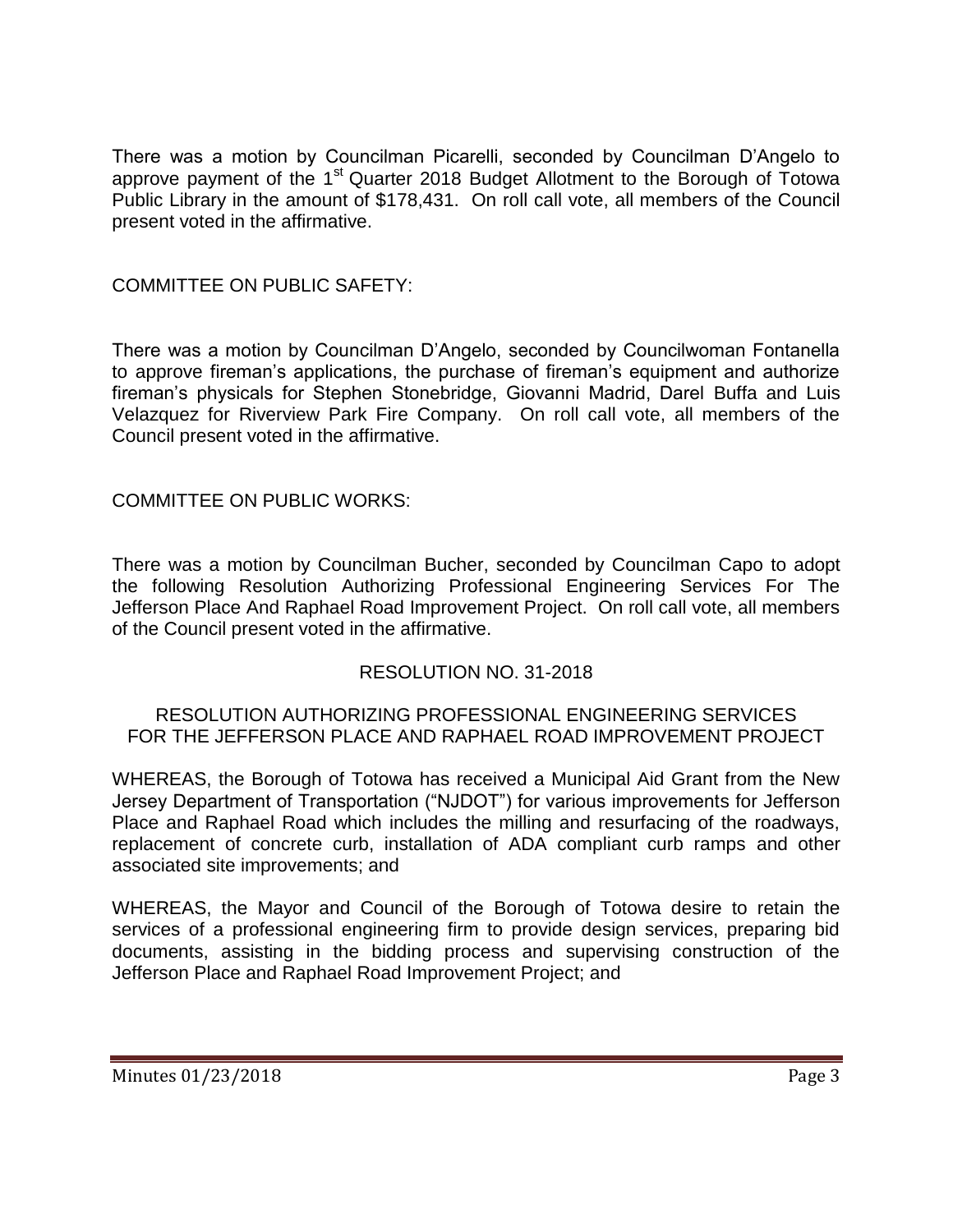There was a motion by Councilman Picarelli, seconded by Councilman D'Angelo to approve payment of the 1<sup>st</sup> Quarter 2018 Budget Allotment to the Borough of Totowa Public Library in the amount of \$178,431. On roll call vote, all members of the Council present voted in the affirmative.

# COMMITTEE ON PUBLIC SAFETY:

There was a motion by Councilman D'Angelo, seconded by Councilwoman Fontanella to approve fireman's applications, the purchase of fireman's equipment and authorize fireman's physicals for Stephen Stonebridge, Giovanni Madrid, Darel Buffa and Luis Velazquez for Riverview Park Fire Company. On roll call vote, all members of the Council present voted in the affirmative.

# COMMITTEE ON PUBLIC WORKS:

There was a motion by Councilman Bucher, seconded by Councilman Capo to adopt the following Resolution Authorizing Professional Engineering Services For The Jefferson Place And Raphael Road Improvement Project. On roll call vote, all members of the Council present voted in the affirmative.

# RESOLUTION NO. 31-2018

#### RESOLUTION AUTHORIZING PROFESSIONAL ENGINEERING SERVICES FOR THE JEFFERSON PLACE AND RAPHAEL ROAD IMPROVEMENT PROJECT

WHEREAS, the Borough of Totowa has received a Municipal Aid Grant from the New Jersey Department of Transportation ("NJDOT") for various improvements for Jefferson Place and Raphael Road which includes the milling and resurfacing of the roadways, replacement of concrete curb, installation of ADA compliant curb ramps and other associated site improvements; and

WHEREAS, the Mayor and Council of the Borough of Totowa desire to retain the services of a professional engineering firm to provide design services, preparing bid documents, assisting in the bidding process and supervising construction of the Jefferson Place and Raphael Road Improvement Project; and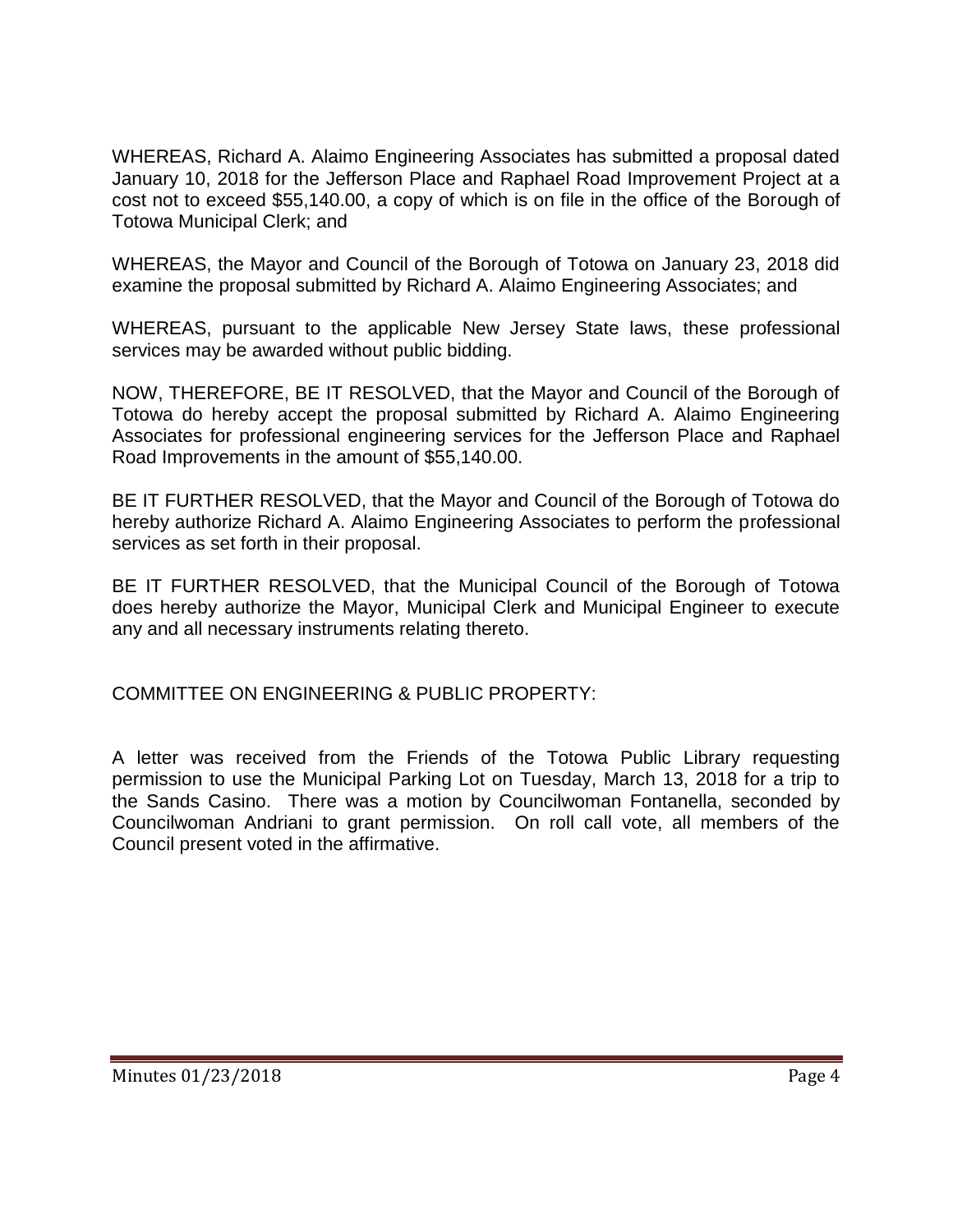WHEREAS, Richard A. Alaimo Engineering Associates has submitted a proposal dated January 10, 2018 for the Jefferson Place and Raphael Road Improvement Project at a cost not to exceed \$55,140.00, a copy of which is on file in the office of the Borough of Totowa Municipal Clerk; and

WHEREAS, the Mayor and Council of the Borough of Totowa on January 23, 2018 did examine the proposal submitted by Richard A. Alaimo Engineering Associates; and

WHEREAS, pursuant to the applicable New Jersey State laws, these professional services may be awarded without public bidding.

NOW, THEREFORE, BE IT RESOLVED, that the Mayor and Council of the Borough of Totowa do hereby accept the proposal submitted by Richard A. Alaimo Engineering Associates for professional engineering services for the Jefferson Place and Raphael Road Improvements in the amount of \$55,140.00.

BE IT FURTHER RESOLVED, that the Mayor and Council of the Borough of Totowa do hereby authorize Richard A. Alaimo Engineering Associates to perform the professional services as set forth in their proposal.

BE IT FURTHER RESOLVED, that the Municipal Council of the Borough of Totowa does hereby authorize the Mayor, Municipal Clerk and Municipal Engineer to execute any and all necessary instruments relating thereto.

COMMITTEE ON ENGINEERING & PUBLIC PROPERTY:

A letter was received from the Friends of the Totowa Public Library requesting permission to use the Municipal Parking Lot on Tuesday, March 13, 2018 for a trip to the Sands Casino. There was a motion by Councilwoman Fontanella, seconded by Councilwoman Andriani to grant permission. On roll call vote, all members of the Council present voted in the affirmative.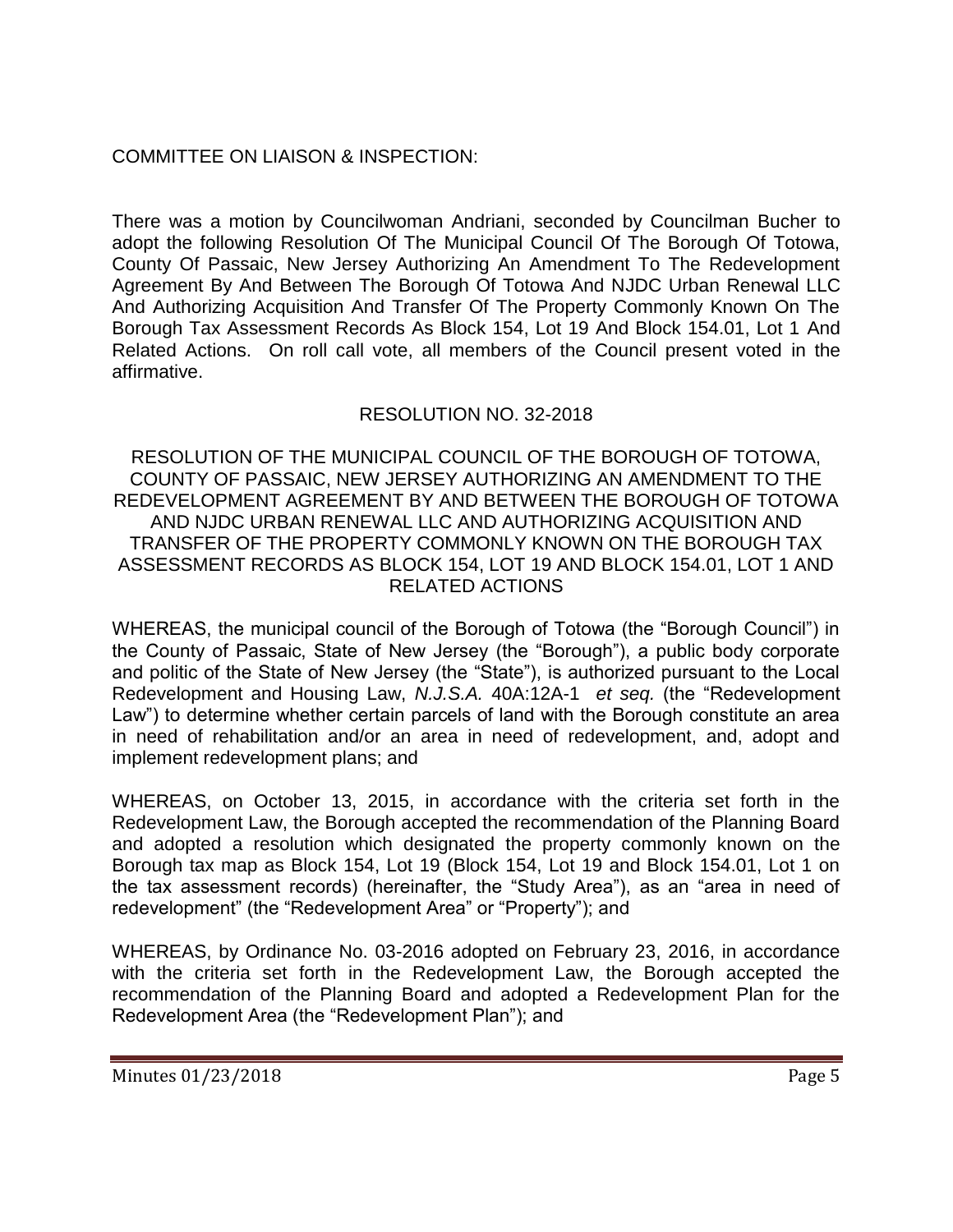# COMMITTEE ON LIAISON & INSPECTION:

There was a motion by Councilwoman Andriani, seconded by Councilman Bucher to adopt the following Resolution Of The Municipal Council Of The Borough Of Totowa, County Of Passaic, New Jersey Authorizing An Amendment To The Redevelopment Agreement By And Between The Borough Of Totowa And NJDC Urban Renewal LLC And Authorizing Acquisition And Transfer Of The Property Commonly Known On The Borough Tax Assessment Records As Block 154, Lot 19 And Block 154.01, Lot 1 And Related Actions. On roll call vote, all members of the Council present voted in the affirmative.

# RESOLUTION NO. 32-2018

RESOLUTION OF THE MUNICIPAL COUNCIL OF THE BOROUGH OF TOTOWA, COUNTY OF PASSAIC, NEW JERSEY AUTHORIZING AN AMENDMENT TO THE REDEVELOPMENT AGREEMENT BY AND BETWEEN THE BOROUGH OF TOTOWA AND NJDC URBAN RENEWAL LLC AND AUTHORIZING ACQUISITION AND TRANSFER OF THE PROPERTY COMMONLY KNOWN ON THE BOROUGH TAX ASSESSMENT RECORDS AS BLOCK 154, LOT 19 AND BLOCK 154.01, LOT 1 AND RELATED ACTIONS

WHEREAS, the municipal council of the Borough of Totowa (the "Borough Council") in the County of Passaic, State of New Jersey (the "Borough"), a public body corporate and politic of the State of New Jersey (the "State"), is authorized pursuant to the Local Redevelopment and Housing Law, *N.J.S.A.* 40A:12A-1 *et seq.* (the "Redevelopment Law") to determine whether certain parcels of land with the Borough constitute an area in need of rehabilitation and/or an area in need of redevelopment, and, adopt and implement redevelopment plans; and

WHEREAS, on October 13, 2015, in accordance with the criteria set forth in the Redevelopment Law, the Borough accepted the recommendation of the Planning Board and adopted a resolution which designated the property commonly known on the Borough tax map as Block 154, Lot 19 (Block 154, Lot 19 and Block 154.01, Lot 1 on the tax assessment records) (hereinafter, the "Study Area"), as an "area in need of redevelopment" (the "Redevelopment Area" or "Property"); and

WHEREAS, by Ordinance No. 03-2016 adopted on February 23, 2016, in accordance with the criteria set forth in the Redevelopment Law, the Borough accepted the recommendation of the Planning Board and adopted a Redevelopment Plan for the Redevelopment Area (the "Redevelopment Plan"); and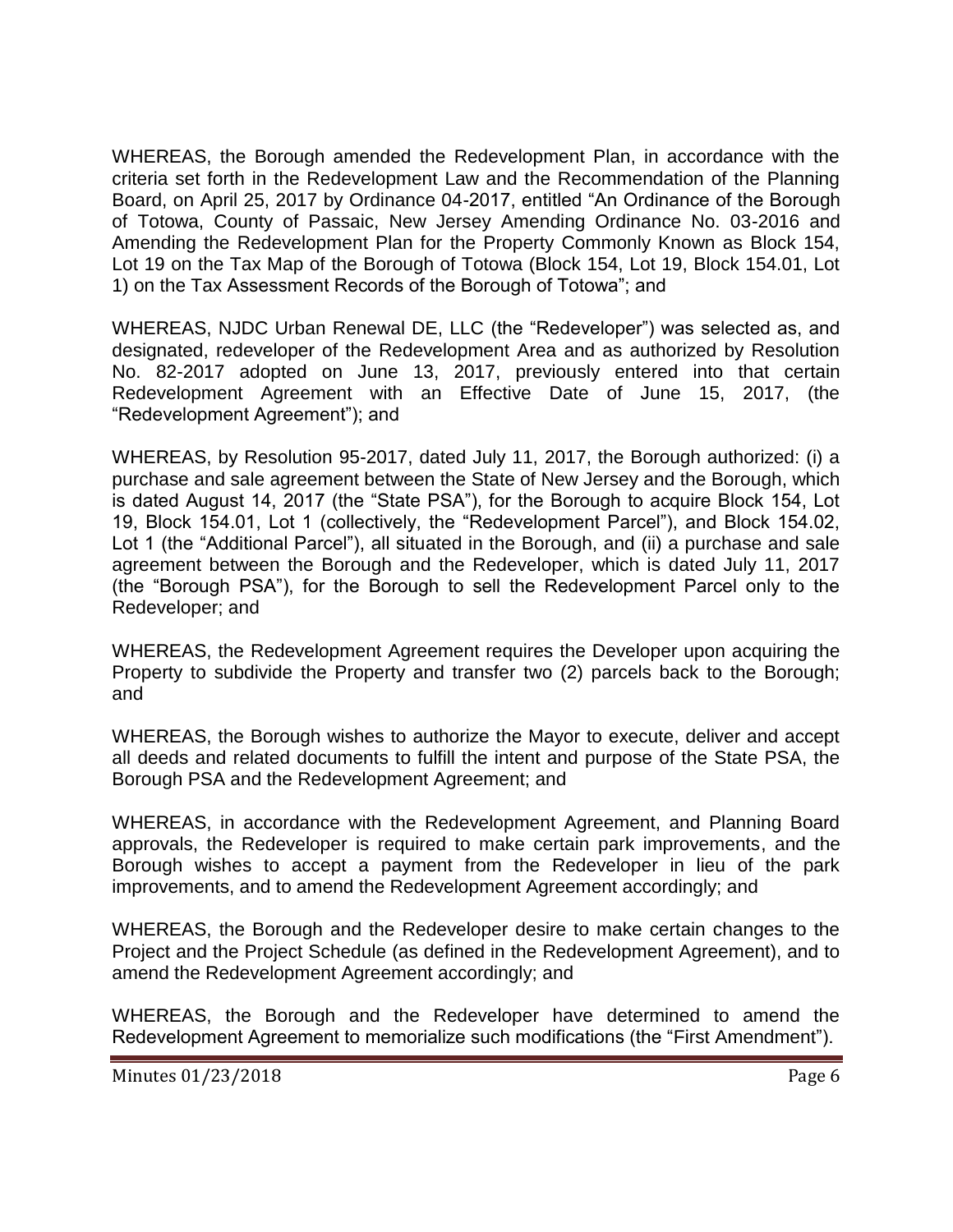WHEREAS, the Borough amended the Redevelopment Plan, in accordance with the criteria set forth in the Redevelopment Law and the Recommendation of the Planning Board, on April 25, 2017 by Ordinance 04-2017, entitled "An Ordinance of the Borough of Totowa, County of Passaic, New Jersey Amending Ordinance No. 03-2016 and Amending the Redevelopment Plan for the Property Commonly Known as Block 154, Lot 19 on the Tax Map of the Borough of Totowa (Block 154, Lot 19, Block 154.01, Lot 1) on the Tax Assessment Records of the Borough of Totowa"; and

WHEREAS, NJDC Urban Renewal DE, LLC (the "Redeveloper") was selected as, and designated, redeveloper of the Redevelopment Area and as authorized by Resolution No. 82-2017 adopted on June 13, 2017, previously entered into that certain Redevelopment Agreement with an Effective Date of June 15, 2017, (the "Redevelopment Agreement"); and

WHEREAS, by Resolution 95-2017, dated July 11, 2017, the Borough authorized: (i) a purchase and sale agreement between the State of New Jersey and the Borough, which is dated August 14, 2017 (the "State PSA"), for the Borough to acquire Block 154, Lot 19, Block 154.01, Lot 1 (collectively, the "Redevelopment Parcel"), and Block 154.02, Lot 1 (the "Additional Parcel"), all situated in the Borough, and (ii) a purchase and sale agreement between the Borough and the Redeveloper, which is dated July 11, 2017 (the "Borough PSA"), for the Borough to sell the Redevelopment Parcel only to the Redeveloper; and

WHEREAS, the Redevelopment Agreement requires the Developer upon acquiring the Property to subdivide the Property and transfer two (2) parcels back to the Borough; and

WHEREAS, the Borough wishes to authorize the Mayor to execute, deliver and accept all deeds and related documents to fulfill the intent and purpose of the State PSA, the Borough PSA and the Redevelopment Agreement; and

WHEREAS, in accordance with the Redevelopment Agreement, and Planning Board approvals, the Redeveloper is required to make certain park improvements, and the Borough wishes to accept a payment from the Redeveloper in lieu of the park improvements, and to amend the Redevelopment Agreement accordingly; and

WHEREAS, the Borough and the Redeveloper desire to make certain changes to the Project and the Project Schedule (as defined in the Redevelopment Agreement), and to amend the Redevelopment Agreement accordingly; and

WHEREAS, the Borough and the Redeveloper have determined to amend the Redevelopment Agreement to memorialize such modifications (the "First Amendment").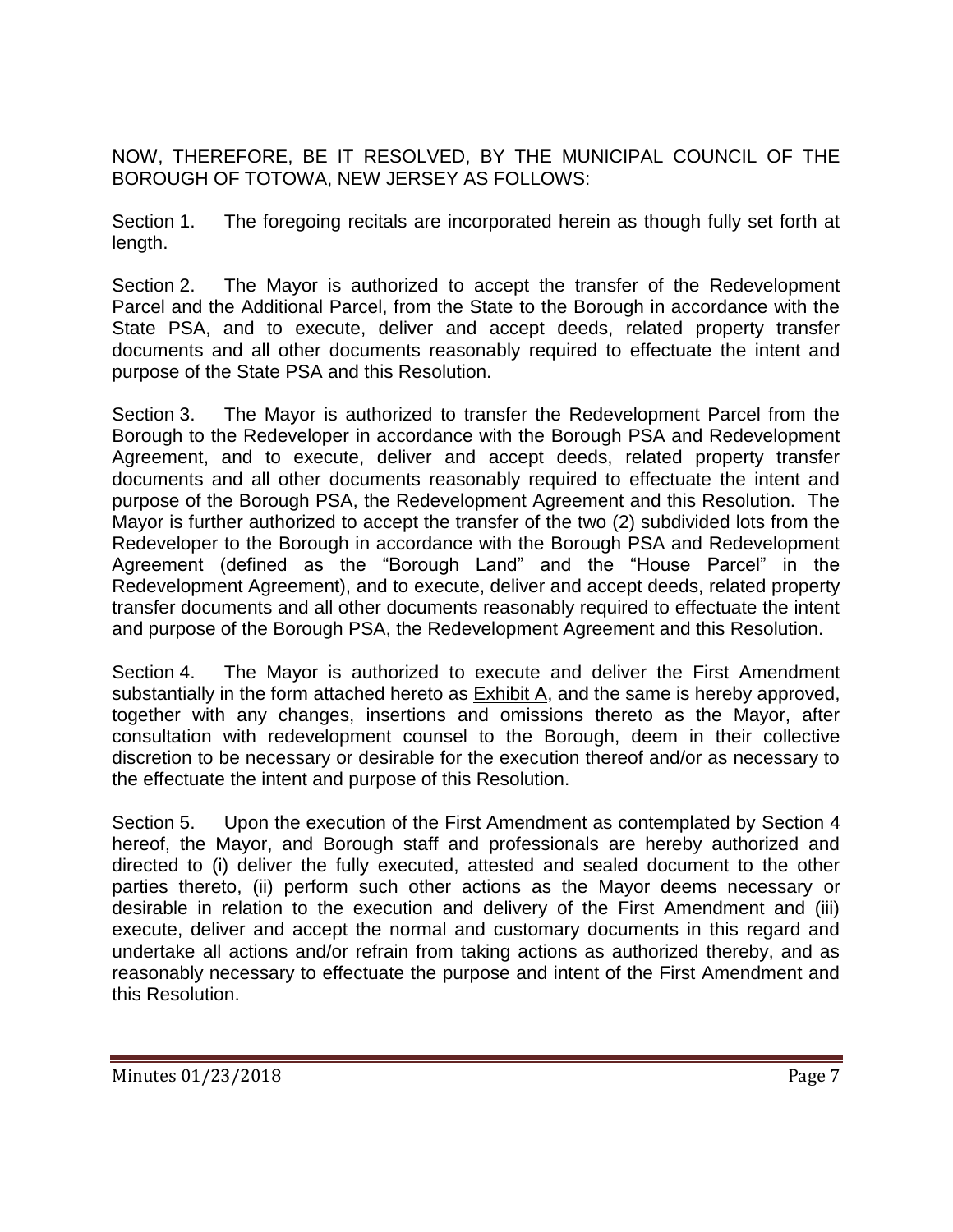NOW, THEREFORE, BE IT RESOLVED, BY THE MUNICIPAL COUNCIL OF THE BOROUGH OF TOTOWA, NEW JERSEY AS FOLLOWS:

Section 1. The foregoing recitals are incorporated herein as though fully set forth at length.

Section 2. The Mayor is authorized to accept the transfer of the Redevelopment Parcel and the Additional Parcel, from the State to the Borough in accordance with the State PSA, and to execute, deliver and accept deeds, related property transfer documents and all other documents reasonably required to effectuate the intent and purpose of the State PSA and this Resolution.

Section 3. The Mayor is authorized to transfer the Redevelopment Parcel from the Borough to the Redeveloper in accordance with the Borough PSA and Redevelopment Agreement, and to execute, deliver and accept deeds, related property transfer documents and all other documents reasonably required to effectuate the intent and purpose of the Borough PSA, the Redevelopment Agreement and this Resolution. The Mayor is further authorized to accept the transfer of the two (2) subdivided lots from the Redeveloper to the Borough in accordance with the Borough PSA and Redevelopment Agreement (defined as the "Borough Land" and the "House Parcel" in the Redevelopment Agreement), and to execute, deliver and accept deeds, related property transfer documents and all other documents reasonably required to effectuate the intent and purpose of the Borough PSA, the Redevelopment Agreement and this Resolution.

Section 4. The Mayor is authorized to execute and deliver the First Amendment substantially in the form attached hereto as Exhibit A, and the same is hereby approved, together with any changes, insertions and omissions thereto as the Mayor, after consultation with redevelopment counsel to the Borough, deem in their collective discretion to be necessary or desirable for the execution thereof and/or as necessary to the effectuate the intent and purpose of this Resolution.

Section 5. Upon the execution of the First Amendment as contemplated by Section 4 hereof, the Mayor, and Borough staff and professionals are hereby authorized and directed to (i) deliver the fully executed, attested and sealed document to the other parties thereto, (ii) perform such other actions as the Mayor deems necessary or desirable in relation to the execution and delivery of the First Amendment and (iii) execute, deliver and accept the normal and customary documents in this regard and undertake all actions and/or refrain from taking actions as authorized thereby, and as reasonably necessary to effectuate the purpose and intent of the First Amendment and this Resolution.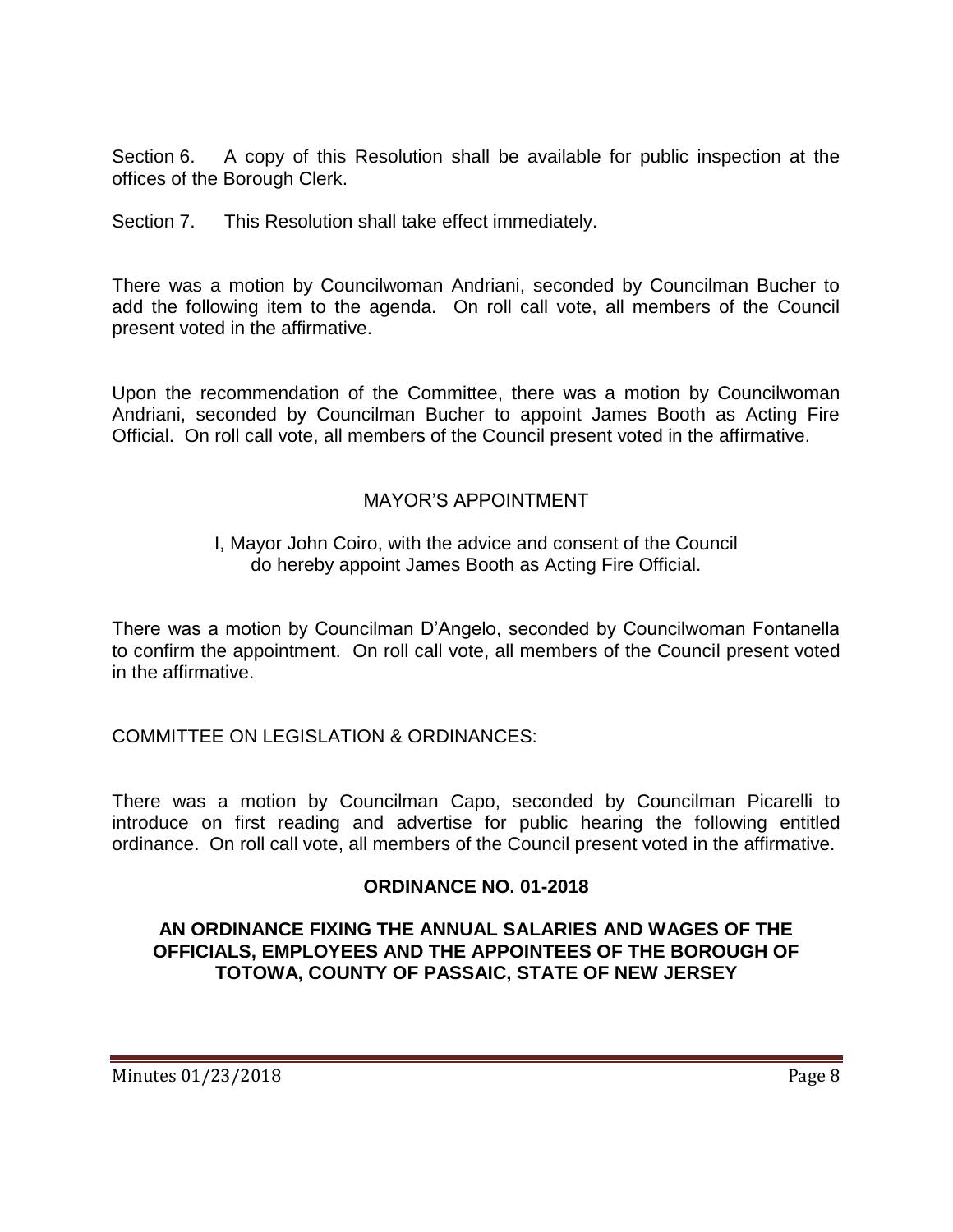Section 6. A copy of this Resolution shall be available for public inspection at the offices of the Borough Clerk.

Section 7. This Resolution shall take effect immediately.

There was a motion by Councilwoman Andriani, seconded by Councilman Bucher to add the following item to the agenda. On roll call vote, all members of the Council present voted in the affirmative.

Upon the recommendation of the Committee, there was a motion by Councilwoman Andriani, seconded by Councilman Bucher to appoint James Booth as Acting Fire Official. On roll call vote, all members of the Council present voted in the affirmative.

# MAYOR'S APPOINTMENT

### I, Mayor John Coiro, with the advice and consent of the Council do hereby appoint James Booth as Acting Fire Official.

There was a motion by Councilman D'Angelo, seconded by Councilwoman Fontanella to confirm the appointment. On roll call vote, all members of the Council present voted in the affirmative.

COMMITTEE ON LEGISLATION & ORDINANCES:

There was a motion by Councilman Capo, seconded by Councilman Picarelli to introduce on first reading and advertise for public hearing the following entitled ordinance. On roll call vote, all members of the Council present voted in the affirmative.

#### **ORDINANCE NO. 01-2018**

### **AN ORDINANCE FIXING THE ANNUAL SALARIES AND WAGES OF THE OFFICIALS, EMPLOYEES AND THE APPOINTEES OF THE BOROUGH OF TOTOWA, COUNTY OF PASSAIC, STATE OF NEW JERSEY**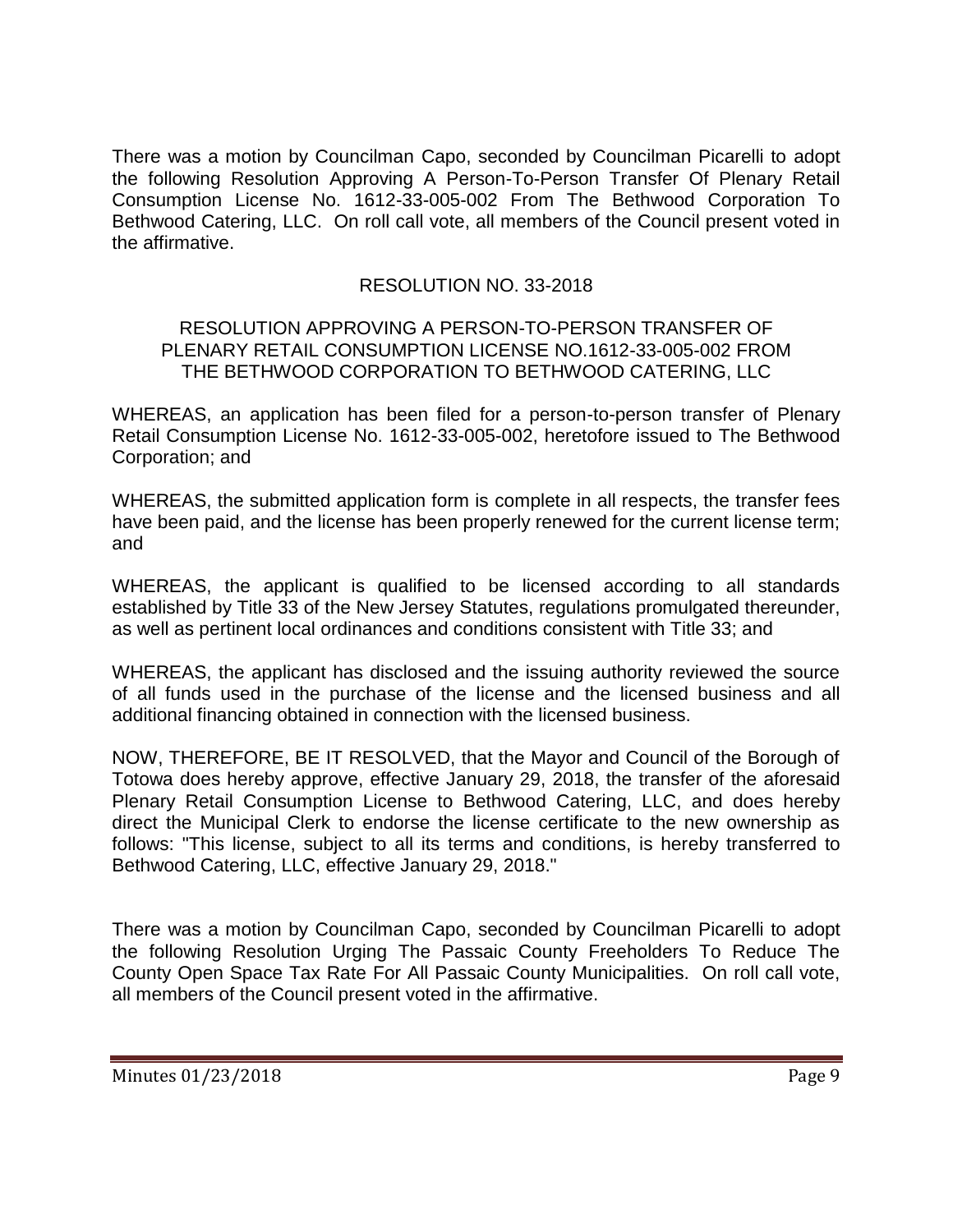There was a motion by Councilman Capo, seconded by Councilman Picarelli to adopt the following Resolution Approving A Person-To-Person Transfer Of Plenary Retail Consumption License No. 1612-33-005-002 From The Bethwood Corporation To Bethwood Catering, LLC. On roll call vote, all members of the Council present voted in the affirmative.

# RESOLUTION NO. 33-2018

### RESOLUTION APPROVING A PERSON-TO-PERSON TRANSFER OF PLENARY RETAIL CONSUMPTION LICENSE NO.1612-33-005-002 FROM THE BETHWOOD CORPORATION TO BETHWOOD CATERING, LLC

WHEREAS, an application has been filed for a person-to-person transfer of Plenary Retail Consumption License No. 1612-33-005-002, heretofore issued to The Bethwood Corporation; and

WHEREAS, the submitted application form is complete in all respects, the transfer fees have been paid, and the license has been properly renewed for the current license term; and

WHEREAS, the applicant is qualified to be licensed according to all standards established by Title 33 of the New Jersey Statutes, regulations promulgated thereunder, as well as pertinent local ordinances and conditions consistent with Title 33; and

WHEREAS, the applicant has disclosed and the issuing authority reviewed the source of all funds used in the purchase of the license and the licensed business and all additional financing obtained in connection with the licensed business.

NOW, THEREFORE, BE IT RESOLVED, that the Mayor and Council of the Borough of Totowa does hereby approve, effective January 29, 2018, the transfer of the aforesaid Plenary Retail Consumption License to Bethwood Catering, LLC, and does hereby direct the Municipal Clerk to endorse the license certificate to the new ownership as follows: "This license, subject to all its terms and conditions, is hereby transferred to Bethwood Catering, LLC, effective January 29, 2018."

There was a motion by Councilman Capo, seconded by Councilman Picarelli to adopt the following Resolution Urging The Passaic County Freeholders To Reduce The County Open Space Tax Rate For All Passaic County Municipalities. On roll call vote, all members of the Council present voted in the affirmative.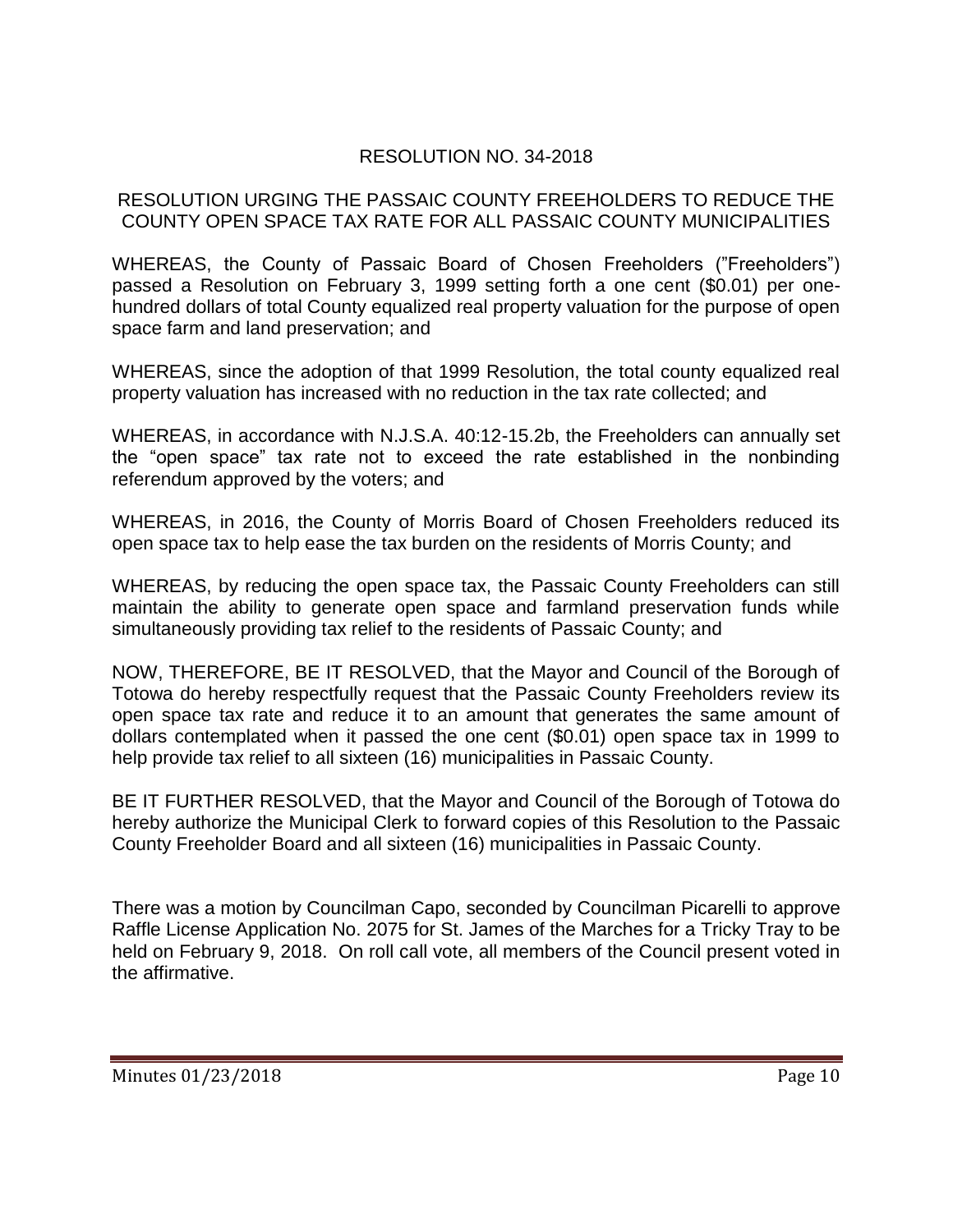# RESOLUTION NO. 34-2018

### RESOLUTION URGING THE PASSAIC COUNTY FREEHOLDERS TO REDUCE THE COUNTY OPEN SPACE TAX RATE FOR ALL PASSAIC COUNTY MUNICIPALITIES

WHEREAS, the County of Passaic Board of Chosen Freeholders ("Freeholders") passed a Resolution on February 3, 1999 setting forth a one cent (\$0.01) per onehundred dollars of total County equalized real property valuation for the purpose of open space farm and land preservation; and

WHEREAS, since the adoption of that 1999 Resolution, the total county equalized real property valuation has increased with no reduction in the tax rate collected; and

WHEREAS, in accordance with N.J.S.A. 40:12-15.2b, the Freeholders can annually set the "open space" tax rate not to exceed the rate established in the nonbinding referendum approved by the voters; and

WHEREAS, in 2016, the County of Morris Board of Chosen Freeholders reduced its open space tax to help ease the tax burden on the residents of Morris County; and

WHEREAS, by reducing the open space tax, the Passaic County Freeholders can still maintain the ability to generate open space and farmland preservation funds while simultaneously providing tax relief to the residents of Passaic County; and

NOW, THEREFORE, BE IT RESOLVED, that the Mayor and Council of the Borough of Totowa do hereby respectfully request that the Passaic County Freeholders review its open space tax rate and reduce it to an amount that generates the same amount of dollars contemplated when it passed the one cent (\$0.01) open space tax in 1999 to help provide tax relief to all sixteen (16) municipalities in Passaic County.

BE IT FURTHER RESOLVED, that the Mayor and Council of the Borough of Totowa do hereby authorize the Municipal Clerk to forward copies of this Resolution to the Passaic County Freeholder Board and all sixteen (16) municipalities in Passaic County.

There was a motion by Councilman Capo, seconded by Councilman Picarelli to approve Raffle License Application No. 2075 for St. James of the Marches for a Tricky Tray to be held on February 9, 2018. On roll call vote, all members of the Council present voted in the affirmative.